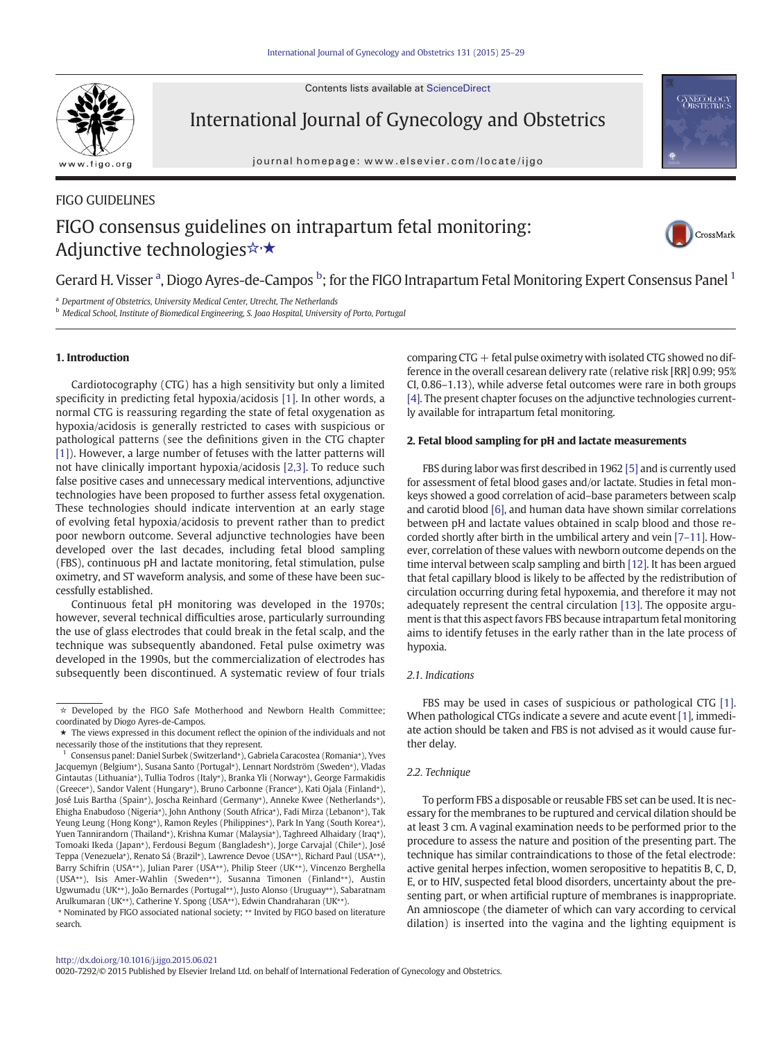Contents lists available at ScienceDirect



International Journal of Gynecology and Obstetrics

journal homepage: www.elsevier.com/locate/ijgo



# FIGO GUIDELINES FIGO consensus guidelines on intrapartum fetal monitoring: Adjunctive technologies☆★



Gerard H. Visser <sup>a</sup>, Diogo Ayres-de-Campos <sup>b</sup>; for the FIGO Intrapartum Fetal Monitoring Expert Consensus Panel <sup>1</sup>

<sup>a</sup> Department of Obstetrics, University Medical Center, Utrecht, The Netherlands

<sup>b</sup> Medical School, Institute of Biomedical Engineering, S. Joao Hospital, University of Porto, Portugal

## 1. Introduction

Cardiotocography (CTG) has a high sensitivity but only a limited specificity in predicting fetal hypoxia/acidosis [\[1\]](#page-3-0). In other words, a normal CTG is reassuring regarding the state of fetal oxygenation as hypoxia/acidosis is generally restricted to cases with suspicious or pathological patterns (see the definitions given in the CTG chapter [\[1\]\)](#page-3-0). However, a large number of fetuses with the latter patterns will not have clinically important hypoxia/acidosis [\[2,3\]](#page-3-0). To reduce such false positive cases and unnecessary medical interventions, adjunctive technologies have been proposed to further assess fetal oxygenation. These technologies should indicate intervention at an early stage of evolving fetal hypoxia/acidosis to prevent rather than to predict poor newborn outcome. Several adjunctive technologies have been developed over the last decades, including fetal blood sampling (FBS), continuous pH and lactate monitoring, fetal stimulation, pulse oximetry, and ST waveform analysis, and some of these have been successfully established.

Continuous fetal pH monitoring was developed in the 1970s; however, several technical difficulties arose, particularly surrounding the use of glass electrodes that could break in the fetal scalp, and the technique was subsequently abandoned. Fetal pulse oximetry was developed in the 1990s, but the commercialization of electrodes has subsequently been discontinued. A systematic review of four trials

⁎ Nominated by FIGO associated national society; ⁎⁎ Invited by FIGO based on literature search.

comparing  $CTG +$  fetal pulse oximetry with isolated  $CTG$  showed no difference in the overall cesarean delivery rate (relative risk [RR] 0.99; 95% CI, 0.86–1.13), while adverse fetal outcomes were rare in both groups [\[4\]](#page-3-0). The present chapter focuses on the adjunctive technologies currently available for intrapartum fetal monitoring.

# 2. Fetal blood sampling for pH and lactate measurements

FBS during labor was first described in 1962 [\[5\]](#page-3-0) and is currently used for assessment of fetal blood gases and/or lactate. Studies in fetal monkeys showed a good correlation of acid–base parameters between scalp and carotid blood [\[6\],](#page-3-0) and human data have shown similar correlations between pH and lactate values obtained in scalp blood and those recorded shortly after birth in the umbilical artery and vein [7–[11\].](#page-3-0) However, correlation of these values with newborn outcome depends on the time interval between scalp sampling and birth [\[12\]](#page-3-0). It has been argued that fetal capillary blood is likely to be affected by the redistribution of circulation occurring during fetal hypoxemia, and therefore it may not adequately represent the central circulation [\[13\]](#page-3-0). The opposite argument is that this aspect favors FBS because intrapartum fetal monitoring aims to identify fetuses in the early rather than in the late process of hypoxia.

## 2.1. Indications

FBS may be used in cases of suspicious or pathological CTG [\[1\].](#page-3-0) When pathological CTGs indicate a severe and acute event [\[1\]](#page-3-0), immediate action should be taken and FBS is not advised as it would cause further delay.

## 2.2. Technique

To perform FBS a disposable or reusable FBS set can be used. It is necessary for the membranes to be ruptured and cervical dilation should be at least 3 cm. A vaginal examination needs to be performed prior to the procedure to assess the nature and position of the presenting part. The technique has similar contraindications to those of the fetal electrode: active genital herpes infection, women seropositive to hepatitis B, C, D, E, or to HIV, suspected fetal blood disorders, uncertainty about the presenting part, or when artificial rupture of membranes is inappropriate. An amnioscope (the diameter of which can vary according to cervical dilation) is inserted into the vagina and the lighting equipment is

0020-7292/© 2015 Published by Elsevier Ireland Ltd. on behalf of International Federation of Gynecology and Obstetrics.

<sup>☆</sup> Developed by the FIGO Safe Motherhood and Newborn Health Committee; coordinated by Diogo Ayres-de-Campos.

<sup>★</sup> The views expressed in this document reflect the opinion of the individuals and not necessarily those of the institutions that they represent.

<sup>1</sup> Consensus panel: Daniel Surbek (Switzerland⁎), Gabriela Caracostea (Romania⁎), Yves Jacquemyn (Belgium⁎), Susana Santo (Portugal⁎), Lennart Nordström (Sweden⁎), Vladas Gintautas (Lithuania⁎), Tullia Todros (Italy⁎), Branka Yli (Norway⁎), George Farmakidis (Greece<sup>\*</sup>), Sandor Valent (Hungary<sup>\*</sup>), Bruno Carbonne (France<sup>\*</sup>), Kati Ojala (Finland<sup>\*</sup>), José Luis Bartha (Spain<sup>\*</sup>), Joscha Reinhard (Germany<sup>\*</sup>), Anneke Kwee (Netherlands<sup>\*</sup>), Ehigha Enabudoso (Nigeria\*), John Anthony (South Africa\*), Fadi Mirza (Lebanon\*), Tak Yeung Leung (Hong Kong<sup>\*</sup>), Ramon Reyles (Philippines<sup>\*</sup>), Park In Yang (South Korea<sup>\*</sup>), Yuen Tannirandorn (Thailand<sup>\*</sup>), Krishna Kumar (Malaysia<sup>\*</sup>), Taghreed Alhaidary (Iraq<sup>\*</sup>), Tomoaki Ikeda (Japan\*), Ferdousi Begum (Bangladesh\*), Jorge Carvajal (Chile\*), José Teppa (Venezuela<sup>\*</sup>), Renato Sá (Brazil<sup>\*</sup>), Lawrence Devoe (USA<sup>\*\*)</sup>, Richard Paul (USA<sup>\*\*</sup>), Barry Schifrin (USA<sup>\*</sup>\*), Julian Parer (USA<sup>\*</sup>\*), Philip Steer (UK<sup>\*\*</sup>), Vincenzo Berghella (USA<sup>\*\*</sup>), Isis Amer-Wahlin (Sweden<sup>\*\*</sup>), Susanna Timonen (Finland<sup>\*\*</sup>), Austin Ugwumadu (UK⁎⁎), João Bernardes (Portugal⁎⁎), Justo Alonso (Uruguay⁎⁎), Sabaratnam Arulkumaran (UK<sup>\*\*</sup>), Catherine Y. Spong (USA<sup>\*\*</sup>), Edwin Chandraharan (UK<sup>\*\*</sup>).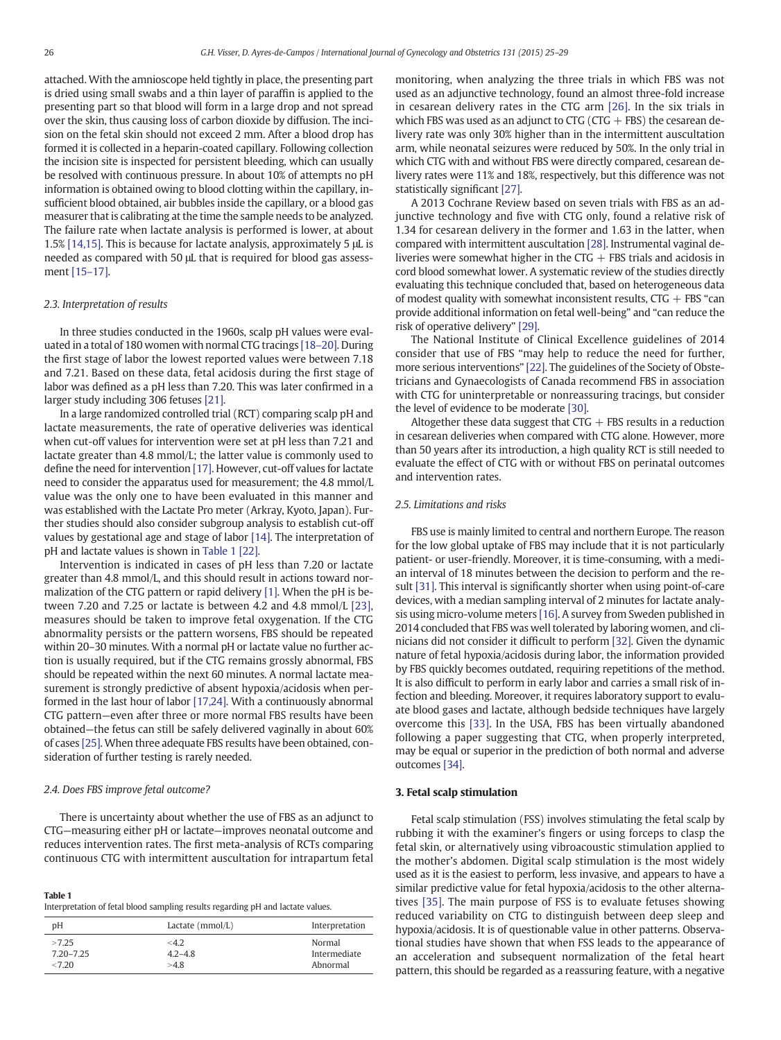attached. With the amnioscope held tightly in place, the presenting part is dried using small swabs and a thin layer of paraffin is applied to the presenting part so that blood will form in a large drop and not spread over the skin, thus causing loss of carbon dioxide by diffusion. The incision on the fetal skin should not exceed 2 mm. After a blood drop has formed it is collected in a heparin-coated capillary. Following collection the incision site is inspected for persistent bleeding, which can usually be resolved with continuous pressure. In about 10% of attempts no pH information is obtained owing to blood clotting within the capillary, insufficient blood obtained, air bubbles inside the capillary, or a blood gas measurer that is calibrating at the time the sample needs to be analyzed. The failure rate when lactate analysis is performed is lower, at about 1.5% [\[14,15\].](#page-3-0) This is because for lactate analysis, approximately 5 μL is needed as compared with 50 μL that is required for blood gas assessment [\[15](#page-3-0)–17].

#### 2.3. Interpretation of results

In three studies conducted in the 1960s, scalp pH values were evaluated in a total of 180 women with normal CTG tracings [\[18](#page-3-0)–20]. During the first stage of labor the lowest reported values were between 7.18 and 7.21. Based on these data, fetal acidosis during the first stage of labor was defined as a pH less than 7.20. This was later confirmed in a larger study including 306 fetuses [\[21\]](#page-3-0).

In a large randomized controlled trial (RCT) comparing scalp pH and lactate measurements, the rate of operative deliveries was identical when cut-off values for intervention were set at pH less than 7.21 and lactate greater than 4.8 mmol/L; the latter value is commonly used to define the need for intervention [\[17\]](#page-3-0). However, cut-off values for lactate need to consider the apparatus used for measurement; the 4.8 mmol/L value was the only one to have been evaluated in this manner and was established with the Lactate Pro meter (Arkray, Kyoto, Japan). Further studies should also consider subgroup analysis to establish cut-off values by gestational age and stage of labor [\[14\]](#page-3-0). The interpretation of pH and lactate values is shown in Table 1 [\[22\].](#page-3-0)

Intervention is indicated in cases of pH less than 7.20 or lactate greater than 4.8 mmol/L, and this should result in actions toward normalization of the CTG pattern or rapid delivery [\[1\].](#page-3-0) When the pH is between 7.20 and 7.25 or lactate is between 4.2 and 4.8 mmol/L [\[23\],](#page-3-0) measures should be taken to improve fetal oxygenation. If the CTG abnormality persists or the pattern worsens, FBS should be repeated within 20–30 minutes. With a normal pH or lactate value no further action is usually required, but if the CTG remains grossly abnormal, FBS should be repeated within the next 60 minutes. A normal lactate measurement is strongly predictive of absent hypoxia/acidosis when performed in the last hour of labor [\[17,24\]](#page-3-0). With a continuously abnormal CTG pattern—even after three or more normal FBS results have been obtained—the fetus can still be safely delivered vaginally in about 60% of cases [\[25\].](#page-3-0) When three adequate FBS results have been obtained, consideration of further testing is rarely needed.

#### 2.4. Does FBS improve fetal outcome?

There is uncertainty about whether the use of FBS as an adjunct to CTG—measuring either pH or lactate—improves neonatal outcome and reduces intervention rates. The first meta-analysis of RCTs comparing continuous CTG with intermittent auscultation for intrapartum fetal

| Table 1                                                                         |  |
|---------------------------------------------------------------------------------|--|
| Interpretation of fetal blood sampling results regarding pH and lactate values. |  |

| DΗ            | Lactate $(mmol/L)$ | Interpretation |
|---------------|--------------------|----------------|
| >7.25         | $<$ 4.2            | Normal         |
| $7.20 - 7.25$ | $4.2 - 4.8$        | Intermediate   |
| <7.20         | >4.8               | Abnormal       |
|               |                    |                |

monitoring, when analyzing the three trials in which FBS was not used as an adjunctive technology, found an almost three-fold increase in cesarean delivery rates in the CTG arm [\[26\]](#page-3-0). In the six trials in which FBS was used as an adjunct to CTG (CTG  $+$  FBS) the cesarean delivery rate was only 30% higher than in the intermittent auscultation arm, while neonatal seizures were reduced by 50%. In the only trial in which CTG with and without FBS were directly compared, cesarean delivery rates were 11% and 18%, respectively, but this difference was not statistically significant [\[27\].](#page-4-0)

A 2013 Cochrane Review based on seven trials with FBS as an adjunctive technology and five with CTG only, found a relative risk of 1.34 for cesarean delivery in the former and 1.63 in the latter, when compared with intermittent auscultation [\[28\]](#page-4-0). Instrumental vaginal deliveries were somewhat higher in the CTG  $+$  FBS trials and acidosis in cord blood somewhat lower. A systematic review of the studies directly evaluating this technique concluded that, based on heterogeneous data of modest quality with somewhat inconsistent results,  $CTG + FBS$  "can provide additional information on fetal well-being" and "can reduce the risk of operative delivery" [\[29\].](#page-4-0)

The National Institute of Clinical Excellence guidelines of 2014 consider that use of FBS "may help to reduce the need for further, more serious interventions" [\[22\].](#page-3-0) The guidelines of the Society of Obstetricians and Gynaecologists of Canada recommend FBS in association with CTG for uninterpretable or nonreassuring tracings, but consider the level of evidence to be moderate [\[30\]](#page-4-0).

Altogether these data suggest that  $CTG + FBS$  results in a reduction in cesarean deliveries when compared with CTG alone. However, more than 50 years after its introduction, a high quality RCT is still needed to evaluate the effect of CTG with or without FBS on perinatal outcomes and intervention rates.

#### 2.5. Limitations and risks

FBS use is mainly limited to central and northern Europe. The reason for the low global uptake of FBS may include that it is not particularly patient- or user-friendly. Moreover, it is time-consuming, with a median interval of 18 minutes between the decision to perform and the result [\[31\]](#page-4-0). This interval is significantly shorter when using point-of-care devices, with a median sampling interval of 2 minutes for lactate analysis using micro-volume meters [\[16\]](#page-3-0). A survey from Sweden published in 2014 concluded that FBS was well tolerated by laboring women, and clinicians did not consider it difficult to perform [\[32\]](#page-4-0). Given the dynamic nature of fetal hypoxia/acidosis during labor, the information provided by FBS quickly becomes outdated, requiring repetitions of the method. It is also difficult to perform in early labor and carries a small risk of infection and bleeding. Moreover, it requires laboratory support to evaluate blood gases and lactate, although bedside techniques have largely overcome this [\[33\]](#page-4-0). In the USA, FBS has been virtually abandoned following a paper suggesting that CTG, when properly interpreted, may be equal or superior in the prediction of both normal and adverse outcomes [\[34\].](#page-4-0)

#### 3. Fetal scalp stimulation

Fetal scalp stimulation (FSS) involves stimulating the fetal scalp by rubbing it with the examiner's fingers or using forceps to clasp the fetal skin, or alternatively using vibroacoustic stimulation applied to the mother's abdomen. Digital scalp stimulation is the most widely used as it is the easiest to perform, less invasive, and appears to have a similar predictive value for fetal hypoxia/acidosis to the other alternatives [\[35\]](#page-4-0). The main purpose of FSS is to evaluate fetuses showing reduced variability on CTG to distinguish between deep sleep and hypoxia/acidosis. It is of questionable value in other patterns. Observational studies have shown that when FSS leads to the appearance of an acceleration and subsequent normalization of the fetal heart pattern, this should be regarded as a reassuring feature, with a negative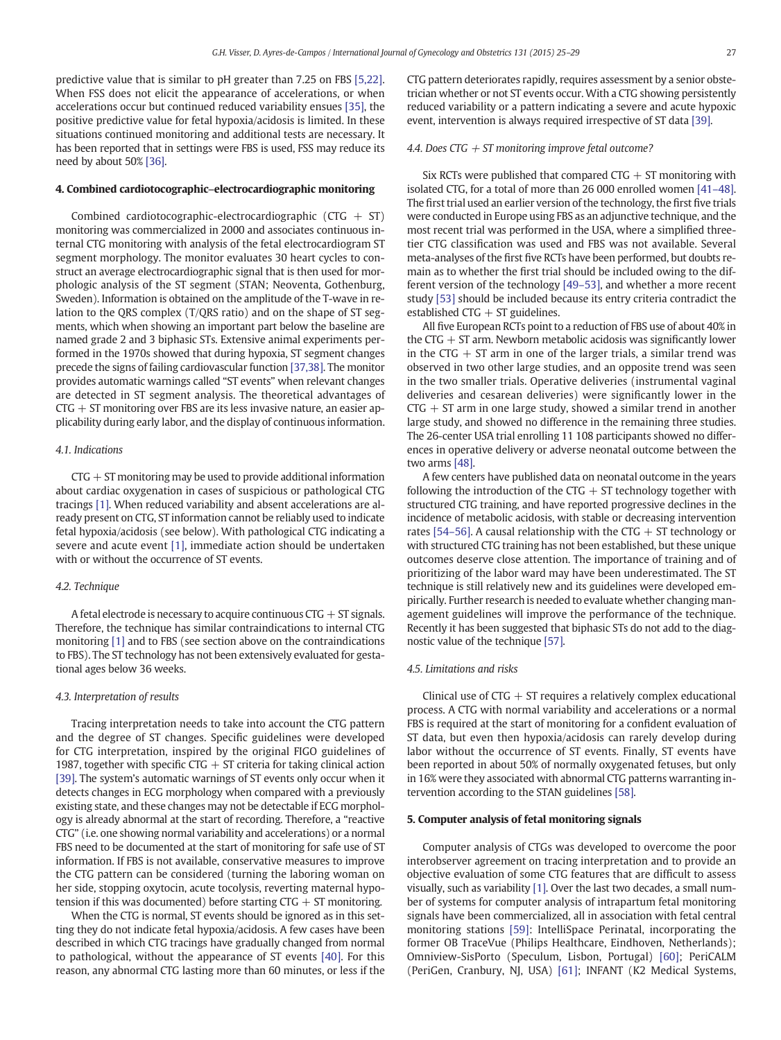predictive value that is similar to pH greater than 7.25 on FBS [\[5,22\].](#page-3-0) When FSS does not elicit the appearance of accelerations, or when accelerations occur but continued reduced variability ensues [\[35\],](#page-4-0) the positive predictive value for fetal hypoxia/acidosis is limited. In these situations continued monitoring and additional tests are necessary. It has been reported that in settings were FBS is used, FSS may reduce its need by about 50% [\[36\]](#page-4-0).

#### 4. Combined cardiotocographic–electrocardiographic monitoring

Combined cardiotocographic-electrocardiographic  $(CTG + ST)$ monitoring was commercialized in 2000 and associates continuous internal CTG monitoring with analysis of the fetal electrocardiogram ST segment morphology. The monitor evaluates 30 heart cycles to construct an average electrocardiographic signal that is then used for morphologic analysis of the ST segment (STAN; Neoventa, Gothenburg, Sweden). Information is obtained on the amplitude of the T-wave in relation to the QRS complex (T/QRS ratio) and on the shape of ST segments, which when showing an important part below the baseline are named grade 2 and 3 biphasic STs. Extensive animal experiments performed in the 1970s showed that during hypoxia, ST segment changes precede the signs of failing cardiovascular function [\[37,38\].](#page-4-0) The monitor provides automatic warnings called "ST events" when relevant changes are detected in ST segment analysis. The theoretical advantages of  $CTG + ST$  monitoring over FBS are its less invasive nature, an easier applicability during early labor, and the display of continuous information.

#### 4.1. Indications

 $CTG + ST$  monitoring may be used to provide additional information about cardiac oxygenation in cases of suspicious or pathological CTG tracings [\[1\]](#page-3-0). When reduced variability and absent accelerations are already present on CTG, ST information cannot be reliably used to indicate fetal hypoxia/acidosis (see below). With pathological CTG indicating a severe and acute event [\[1\],](#page-3-0) immediate action should be undertaken with or without the occurrence of ST events.

#### 4.2. Technique

A fetal electrode is necessary to acquire continuous  $CTG + ST$  signals. Therefore, the technique has similar contraindications to internal CTG monitoring [\[1\]](#page-3-0) and to FBS (see section above on the contraindications to FBS). The ST technology has not been extensively evaluated for gestational ages below 36 weeks.

#### 4.3. Interpretation of results

Tracing interpretation needs to take into account the CTG pattern and the degree of ST changes. Specific guidelines were developed for CTG interpretation, inspired by the original FIGO guidelines of 1987, together with specific CTG  $+$  ST criteria for taking clinical action [\[39\].](#page-4-0) The system's automatic warnings of ST events only occur when it detects changes in ECG morphology when compared with a previously existing state, and these changes may not be detectable if ECG morphology is already abnormal at the start of recording. Therefore, a "reactive CTG" (i.e. one showing normal variability and accelerations) or a normal FBS need to be documented at the start of monitoring for safe use of ST information. If FBS is not available, conservative measures to improve the CTG pattern can be considered (turning the laboring woman on her side, stopping oxytocin, acute tocolysis, reverting maternal hypotension if this was documented) before starting  $CTG + ST$  monitoring.

When the CTG is normal, ST events should be ignored as in this setting they do not indicate fetal hypoxia/acidosis. A few cases have been described in which CTG tracings have gradually changed from normal to pathological, without the appearance of ST events [\[40\]](#page-4-0). For this reason, any abnormal CTG lasting more than 60 minutes, or less if the CTG pattern deteriorates rapidly, requires assessment by a senior obstetrician whether or not ST events occur. With a CTG showing persistently reduced variability or a pattern indicating a severe and acute hypoxic event, intervention is always required irrespective of ST data [\[39\].](#page-4-0)

#### 4.4. Does CTG  $+$  ST monitoring improve fetal outcome?

Six RCTs were published that compared  $CTG + ST$  monitoring with isolated CTG, for a total of more than 26 000 enrolled women [41–[48\].](#page-4-0) The first trial used an earlier version of the technology, the first five trials were conducted in Europe using FBS as an adjunctive technique, and the most recent trial was performed in the USA, where a simplified threetier CTG classification was used and FBS was not available. Several meta-analyses of the first five RCTs have been performed, but doubts remain as to whether the first trial should be included owing to the different version of the technology [49–[53\],](#page-4-0) and whether a more recent study [\[53\]](#page-4-0) should be included because its entry criteria contradict the established  $CTG + ST$  guidelines.

All five European RCTs point to a reduction of FBS use of about 40% in the  $CTG + ST$  arm. Newborn metabolic acidosis was significantly lower in the CTG  $+$  ST arm in one of the larger trials, a similar trend was observed in two other large studies, and an opposite trend was seen in the two smaller trials. Operative deliveries (instrumental vaginal deliveries and cesarean deliveries) were significantly lower in the  $CTG + ST$  arm in one large study, showed a similar trend in another large study, and showed no difference in the remaining three studies. The 26-center USA trial enrolling 11 108 participants showed no differences in operative delivery or adverse neonatal outcome between the two arms [\[48\].](#page-4-0)

A few centers have published data on neonatal outcome in the years following the introduction of the  $CTG + ST$  technology together with structured CTG training, and have reported progressive declines in the incidence of metabolic acidosis, with stable or decreasing intervention rates [54–[56\].](#page-4-0) A causal relationship with the CTG  $+$  ST technology or with structured CTG training has not been established, but these unique outcomes deserve close attention. The importance of training and of prioritizing of the labor ward may have been underestimated. The ST technique is still relatively new and its guidelines were developed empirically. Further research is needed to evaluate whether changing management guidelines will improve the performance of the technique. Recently it has been suggested that biphasic STs do not add to the diagnostic value of the technique [\[57\]](#page-4-0).

### 4.5. Limitations and risks

Clinical use of  $CTG + ST$  requires a relatively complex educational process. A CTG with normal variability and accelerations or a normal FBS is required at the start of monitoring for a confident evaluation of ST data, but even then hypoxia/acidosis can rarely develop during labor without the occurrence of ST events. Finally, ST events have been reported in about 50% of normally oxygenated fetuses, but only in 16% were they associated with abnormal CTG patterns warranting intervention according to the STAN guidelines [\[58\]](#page-4-0).

### 5. Computer analysis of fetal monitoring signals

Computer analysis of CTGs was developed to overcome the poor interobserver agreement on tracing interpretation and to provide an objective evaluation of some CTG features that are difficult to assess visually, such as variability [\[1\]](#page-3-0). Over the last two decades, a small number of systems for computer analysis of intrapartum fetal monitoring signals have been commercialized, all in association with fetal central monitoring stations [\[59\]:](#page-4-0) IntelliSpace Perinatal, incorporating the former OB TraceVue (Philips Healthcare, Eindhoven, Netherlands); Omniview-SisPorto (Speculum, Lisbon, Portugal) [\[60\]](#page-4-0); PeriCALM (PeriGen, Cranbury, NJ, USA) [\[61\];](#page-4-0) INFANT (K2 Medical Systems,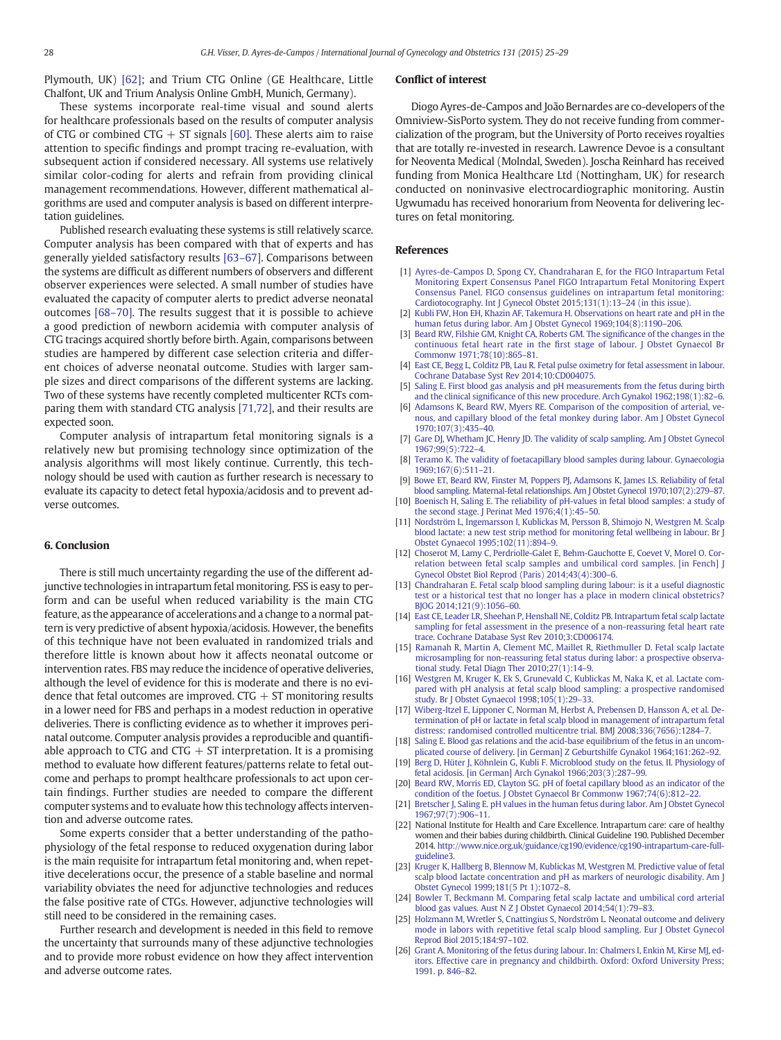<span id="page-3-0"></span>Plymouth, UK) [\[62\];](#page-4-0) and Trium CTG Online (GE Healthcare, Little Chalfont, UK and Trium Analysis Online GmbH, Munich, Germany).

These systems incorporate real-time visual and sound alerts for healthcare professionals based on the results of computer analysis of CTG or combined CTG  $+$  ST signals [\[60\]](#page-4-0). These alerts aim to raise attention to specific findings and prompt tracing re-evaluation, with subsequent action if considered necessary. All systems use relatively similar color-coding for alerts and refrain from providing clinical management recommendations. However, different mathematical algorithms are used and computer analysis is based on different interpretation guidelines.

Published research evaluating these systems is still relatively scarce. Computer analysis has been compared with that of experts and has generally yielded satisfactory results [\[63](#page-4-0)–67]. Comparisons between the systems are difficult as different numbers of observers and different observer experiences were selected. A small number of studies have evaluated the capacity of computer alerts to predict adverse neonatal outcomes [68–[70\].](#page-4-0) The results suggest that it is possible to achieve a good prediction of newborn acidemia with computer analysis of CTG tracings acquired shortly before birth. Again, comparisons between studies are hampered by different case selection criteria and different choices of adverse neonatal outcome. Studies with larger sample sizes and direct comparisons of the different systems are lacking. Two of these systems have recently completed multicenter RCTs comparing them with standard CTG analysis [\[71,72\]](#page-4-0), and their results are expected soon.

Computer analysis of intrapartum fetal monitoring signals is a relatively new but promising technology since optimization of the analysis algorithms will most likely continue. Currently, this technology should be used with caution as further research is necessary to evaluate its capacity to detect fetal hypoxia/acidosis and to prevent adverse outcomes.

# 6. Conclusion

There is still much uncertainty regarding the use of the different adjunctive technologies in intrapartum fetal monitoring. FSS is easy to perform and can be useful when reduced variability is the main CTG feature, as the appearance of accelerations and a change to a normal pattern is very predictive of absent hypoxia/acidosis. However, the benefits of this technique have not been evaluated in randomized trials and therefore little is known about how it affects neonatal outcome or intervention rates. FBS may reduce the incidence of operative deliveries, although the level of evidence for this is moderate and there is no evidence that fetal outcomes are improved.  $CTG + ST$  monitoring results in a lower need for FBS and perhaps in a modest reduction in operative deliveries. There is conflicting evidence as to whether it improves perinatal outcome. Computer analysis provides a reproducible and quantifiable approach to CTG and CTG  $+$  ST interpretation. It is a promising method to evaluate how different features/patterns relate to fetal outcome and perhaps to prompt healthcare professionals to act upon certain findings. Further studies are needed to compare the different computer systems and to evaluate how this technology affects intervention and adverse outcome rates.

Some experts consider that a better understanding of the pathophysiology of the fetal response to reduced oxygenation during labor is the main requisite for intrapartum fetal monitoring and, when repetitive decelerations occur, the presence of a stable baseline and normal variability obviates the need for adjunctive technologies and reduces the false positive rate of CTGs. However, adjunctive technologies will still need to be considered in the remaining cases.

Further research and development is needed in this field to remove the uncertainty that surrounds many of these adjunctive technologies and to provide more robust evidence on how they affect intervention and adverse outcome rates.

#### Conflict of interest

Diogo Ayres-de-Campos and João Bernardes are co-developers of the Omniview-SisPorto system. They do not receive funding from commercialization of the program, but the University of Porto receives royalties that are totally re-invested in research. Lawrence Devoe is a consultant for Neoventa Medical (Molndal, Sweden). Joscha Reinhard has received funding from Monica Healthcare Ltd (Nottingham, UK) for research conducted on noninvasive electrocardiographic monitoring. Austin Ugwumadu has received honorarium from Neoventa for delivering lectures on fetal monitoring.

#### References

- [1] [Ayres-de-Campos D, Spong CY, Chandraharan E, for the FIGO Intrapartum Fetal](http://refhub.elsevier.com/S0020-7292(15)00396-3/rf0310) [Monitoring Expert Consensus Panel FIGO Intrapartum Fetal Monitoring Expert](http://refhub.elsevier.com/S0020-7292(15)00396-3/rf0310) [Consensus Panel. FIGO consensus guidelines on intrapartum fetal monitoring:](http://refhub.elsevier.com/S0020-7292(15)00396-3/rf0310) [Cardiotocography. Int J Gynecol Obstet 2015;131\(1\):13](http://refhub.elsevier.com/S0020-7292(15)00396-3/rf0310)–24 (in this issue).
- [Kubli FW, Hon EH, Khazin AF, Takemura H. Observations on heart rate and pH in the](http://refhub.elsevier.com/S0020-7292(15)00396-3/rf0005) [human fetus during labor. Am J Obstet Gynecol 1969;104\(8\):1190](http://refhub.elsevier.com/S0020-7292(15)00396-3/rf0005)–206.
- [3] Beard RW, Filshie GM, Knight CA, Roberts GM, The significance of the changes in the continuous fetal heart rate in the fi[rst stage of labour. J Obstet Gynaecol Br](http://refhub.elsevier.com/S0020-7292(15)00396-3/rf0010) [Commonw 1971;78\(10\):865](http://refhub.elsevier.com/S0020-7292(15)00396-3/rf0010)–81.
- [4] [East CE, Begg L, Colditz PB, Lau R. Fetal pulse oximetry for fetal assessment in labour.](http://refhub.elsevier.com/S0020-7292(15)00396-3/rf0015) [Cochrane Database Syst Rev 2014;10:CD004075.](http://refhub.elsevier.com/S0020-7292(15)00396-3/rf0015)
- [5] [Saling E. First blood gas analysis and pH measurements from the fetus during birth](http://refhub.elsevier.com/S0020-7292(15)00396-3/rf0020) and the clinical signifi[cance of this new procedure. Arch Gynakol 1962;198\(1\):82](http://refhub.elsevier.com/S0020-7292(15)00396-3/rf0020)–6.
- [6] [Adamsons K, Beard RW, Myers RE. Comparison of the composition of arterial, ve](http://refhub.elsevier.com/S0020-7292(15)00396-3/rf0025)[nous, and capillary blood of the fetal monkey during labor. Am J Obstet Gynecol](http://refhub.elsevier.com/S0020-7292(15)00396-3/rf0025) [1970;107\(3\):435](http://refhub.elsevier.com/S0020-7292(15)00396-3/rf0025)–40.
- [Gare DJ, Whetham JC, Henry JD. The validity of scalp sampling. Am J Obstet Gynecol](http://refhub.elsevier.com/S0020-7292(15)00396-3/rf0030) [1967;99\(5\):722](http://refhub.elsevier.com/S0020-7292(15)00396-3/rf0030)–4.
- [8] [Teramo K. The validity of foetacapillary blood samples during labour. Gynaecologia](http://refhub.elsevier.com/S0020-7292(15)00396-3/rf0035) [1969;167\(6\):511](http://refhub.elsevier.com/S0020-7292(15)00396-3/rf0035)–21.
- [9] [Bowe ET, Beard RW, Finster M, Poppers PJ, Adamsons K, James LS. Reliability of fetal](http://refhub.elsevier.com/S0020-7292(15)00396-3/rf0040) [blood sampling. Maternal-fetal relationships. Am J Obstet Gynecol 1970;107\(2\):279](http://refhub.elsevier.com/S0020-7292(15)00396-3/rf0040)–87.
- [10] [Boenisch H, Saling E. The reliability of pH-values in fetal blood samples: a study of](http://refhub.elsevier.com/S0020-7292(15)00396-3/rf0045) [the second stage. J Perinat Med 1976;4\(1\):45](http://refhub.elsevier.com/S0020-7292(15)00396-3/rf0045)–50.
- [11] [Nordström L, Ingemarsson I, Kublickas M, Persson B, Shimojo N, Westgren M. Scalp](http://refhub.elsevier.com/S0020-7292(15)00396-3/rf0050) [blood lactate: a new test strip method for monitoring fetal wellbeing in labour. Br J](http://refhub.elsevier.com/S0020-7292(15)00396-3/rf0050) [Obstet Gynaecol 1995;102\(11\):894](http://refhub.elsevier.com/S0020-7292(15)00396-3/rf0050)–9.
- [12] [Choserot M, Lamy C, Perdriolle-Galet E, Behm-Gauchotte E, Coevet V, Morel O. Cor](http://refhub.elsevier.com/S0020-7292(15)00396-3/rf0055)[relation between fetal scalp samples and umbilical cord samples. \[in Fench\] J](http://refhub.elsevier.com/S0020-7292(15)00396-3/rf0055) [Gynecol Obstet Biol Reprod \(Paris\) 2014;43\(4\):300](http://refhub.elsevier.com/S0020-7292(15)00396-3/rf0055)–6.
- [13] [Chandraharan E. Fetal scalp blood sampling during labour: is it a useful diagnostic](http://refhub.elsevier.com/S0020-7292(15)00396-3/rf0060) [test or a historical test that no longer has a place in modern clinical obstetrics?](http://refhub.elsevier.com/S0020-7292(15)00396-3/rf0060) [BJOG 2014;121\(9\):1056](http://refhub.elsevier.com/S0020-7292(15)00396-3/rf0060)–60.
- [14] [East CE, Leader LR, Sheehan P, Henshall NE, Colditz PB. Intrapartum fetal scalp lactate](http://refhub.elsevier.com/S0020-7292(15)00396-3/rf0065) [sampling for fetal assessment in the presence of a non-reassuring fetal heart rate](http://refhub.elsevier.com/S0020-7292(15)00396-3/rf0065) [trace. Cochrane Database Syst Rev 2010;3:CD006174.](http://refhub.elsevier.com/S0020-7292(15)00396-3/rf0065)
- [15] [Ramanah R, Martin A, Clement MC, Maillet R, Riethmuller D. Fetal scalp lactate](http://refhub.elsevier.com/S0020-7292(15)00396-3/rf0070) [microsampling for non-reassuring fetal status during labor: a prospective observa](http://refhub.elsevier.com/S0020-7292(15)00396-3/rf0070)[tional study. Fetal Diagn Ther 2010;27\(1\):14](http://refhub.elsevier.com/S0020-7292(15)00396-3/rf0070)–9.
- [16] [Westgren M, Kruger K, Ek S, Grunevald C, Kublickas M, Naka K, et al. Lactate com](http://refhub.elsevier.com/S0020-7292(15)00396-3/rf0075)[pared with pH analysis at fetal scalp blood sampling: a prospective randomised](http://refhub.elsevier.com/S0020-7292(15)00396-3/rf0075) [study. Br J Obstet Gynaecol 1998;105\(1\):29](http://refhub.elsevier.com/S0020-7292(15)00396-3/rf0075)–33.
- [17] [Wiberg-Itzel E, Lipponer C, Norman M, Herbst A, Prebensen D, Hansson A, et al. De](http://refhub.elsevier.com/S0020-7292(15)00396-3/rf0080)[termination of pH or lactate in fetal scalp blood in management of intrapartum fetal](http://refhub.elsevier.com/S0020-7292(15)00396-3/rf0080) [distress: randomised controlled multicentre trial. BMJ 2008;336\(7656\):1284](http://refhub.elsevier.com/S0020-7292(15)00396-3/rf0080)–7.
- [18] [Saling E. Blood gas relations and the acid-base equilibrium of the fetus in an uncom](http://refhub.elsevier.com/S0020-7292(15)00396-3/rf0085)[plicated course of delivery. \[in German\] Z Geburtshilfe Gynakol 1964;161:262](http://refhub.elsevier.com/S0020-7292(15)00396-3/rf0085)–92.
- [19] [Berg D, Hüter J, Köhnlein G, Kubli F. Microblood study on the fetus. II. Physiology of](http://refhub.elsevier.com/S0020-7292(15)00396-3/rf0090) [fetal acidosis. \[in German\] Arch Gynakol 1966;203\(3\):287](http://refhub.elsevier.com/S0020-7292(15)00396-3/rf0090)–99.
- [20] [Beard RW, Morris ED, Clayton SG. pH of foetal capillary blood as an indicator of the](http://refhub.elsevier.com/S0020-7292(15)00396-3/rf0095) [condition of the foetus. J Obstet Gynaecol Br Commonw 1967;74\(6\):812](http://refhub.elsevier.com/S0020-7292(15)00396-3/rf0095)–22.
- [21] [Bretscher J, Saling E. pH values in the human fetus during labor. Am J Obstet Gynecol](http://refhub.elsevier.com/S0020-7292(15)00396-3/rf0100) [1967;97\(7\):906](http://refhub.elsevier.com/S0020-7292(15)00396-3/rf0100)–11.
- [22] National Institute for Health and Care Excellence. Intrapartum care: care of healthy women and their babies during childbirth. Clinical Guideline 190. Published December 2014. [http://www.nice.org.uk/guidance/cg190/evidence/cg190-intrapartum-care-full](http://www.nice.org.uk/guidance/cg190/evidence/cg190-intrapartum-care-full-guideline3)[guideline3.](http://www.nice.org.uk/guidance/cg190/evidence/cg190-intrapartum-care-full-guideline3)
- [23] [Kruger K, Hallberg B, Blennow M, Kublickas M, Westgren M. Predictive value of fetal](http://refhub.elsevier.com/S0020-7292(15)00396-3/rf0105) [scalp blood lactate concentration and pH as markers of neurologic disability. Am J](http://refhub.elsevier.com/S0020-7292(15)00396-3/rf0105) [Obstet Gynecol 1999;181\(5 Pt 1\):1072](http://refhub.elsevier.com/S0020-7292(15)00396-3/rf0105)–8.
- [24] [Bowler T, Beckmann M. Comparing fetal scalp lactate and umbilical cord arterial](http://refhub.elsevier.com/S0020-7292(15)00396-3/rf0110) [blood gas values. Aust N Z J Obstet Gynaecol 2014;54\(1\):79](http://refhub.elsevier.com/S0020-7292(15)00396-3/rf0110)–83.
- [25] [Holzmann M, Wretler S, Cnattingius S, Nordström L. Neonatal outcome and delivery](http://refhub.elsevier.com/S0020-7292(15)00396-3/rf0115) [mode in labors with repetitive fetal scalp blood sampling. Eur J Obstet Gynecol](http://refhub.elsevier.com/S0020-7292(15)00396-3/rf0115) [Reprod Biol 2015;184:97](http://refhub.elsevier.com/S0020-7292(15)00396-3/rf0115)–102.
- [26] [Grant A. Monitoring of the fetus during labour. In: Chalmers I, Enkin M, Kirse MJ, ed](http://refhub.elsevier.com/S0020-7292(15)00396-3/rf0320)[itors. Effective care in pregnancy and childbirth. Oxford: Oxford University Press;](http://refhub.elsevier.com/S0020-7292(15)00396-3/rf0320) [1991. p. 846](http://refhub.elsevier.com/S0020-7292(15)00396-3/rf0320)–82.